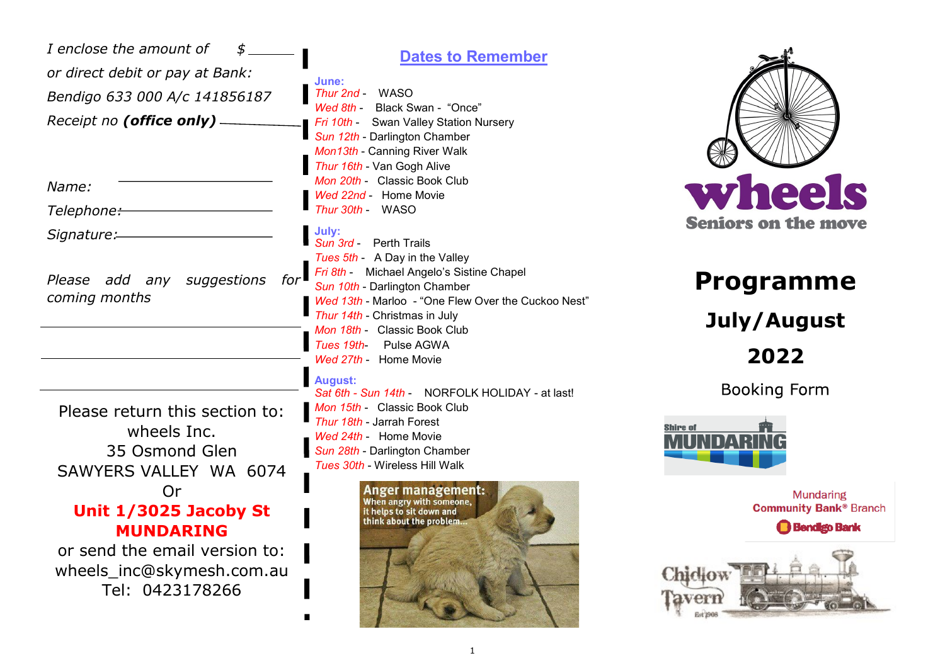Please return this section to: wheels Inc. 35 Osmond Glen SAWYERS VALLEY WA 6074 Or **Unit 1/3025 Jacoby St MUNDARING** or send the email version to: wheels\_inc@skymesh.com.au Tel: 0423178266 **Dates to Remember June:** *Thur 2nd* - WASO *Thur 30th* - WASO **July:** *Sun 3rd* - Perth Trails *Wed 27th* - Home Movie **August:** *I enclose the amount of \$ or direct debit or pay at Bank: Bendigo 633 000 A/c 141856187 Receipt no (office only) Name: Telephone: Signature: Please add any suggestions for coming months*

*Wed 8th* - Black Swan - "Once" *Fri 10th* - Swan Valley Station Nursery *Sun 12th* - Darlington Chamber *Mon13th* - Canning River Walk *Thur 16th* - Van Gogh Alive *Mon 20th* - Classic Book Club *Wed 22nd* - Home Movie *Tues 5th* - A Day in the Valley *Fri 8th* - Michael Angelo's Sistine Chapel *Sun 10th* - Darlington Chamber *Wed 13th* - Marloo - "One Flew Over the Cuckoo Nest" *Thur 14th* - Christmas in July *Mon 18th* - Classic Book Club *Tues 19th*- Pulse AGWA

*Sat 6th - Sun 14th* - NORFOLK HOLIDAY - at last! *Mon 15th* - Classic Book Club *Thur 18th* - Jarrah Forest *Wed 24th* - Home Movie *Sun 28th* - Darlington Chamber *Tues 30th* - Wireless Hill Walk





# **Programme July/August 2022**

**Booking Form** 



**Mundaring Community Bank® Branch** 

**Bendigo Bank**